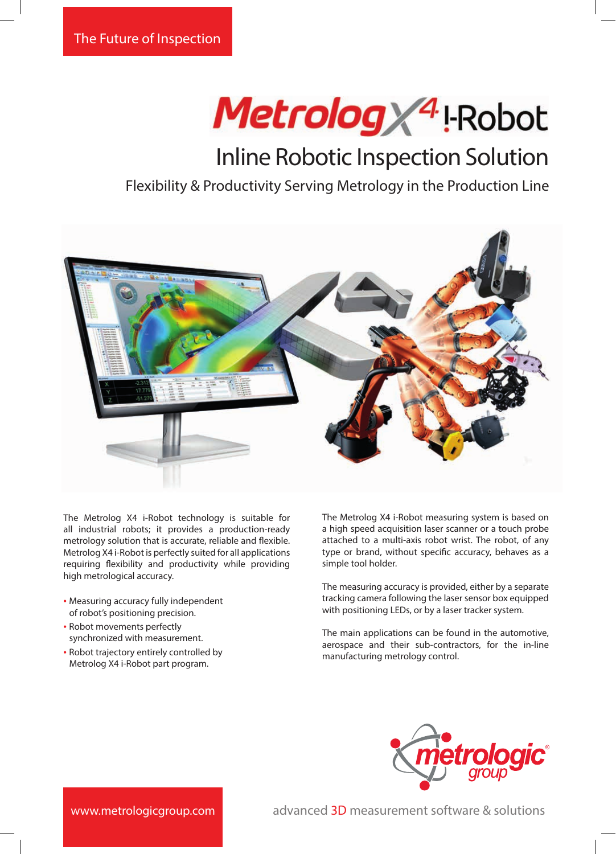# Metrolog / 4 | Robot

## Inline Robotic Inspection Solution

### Flexibility & Productivity Serving Metrology in the Production Line



The Metrolog X4 i-Robot technology is suitable for all industrial robots; it provides a production-ready metrology solution that is accurate, reliable and flexible. Metrolog X4 i-Robot is perfectly suited for all applications requiring flexibility and productivity while providing high metrological accuracy.

- Measuring accuracy fully independent of robot's positioning precision.
- Robot movements perfectly synchronized with measurement.
- Robot trajectory entirely controlled by Metrolog X4 i-Robot part program.

The Metrolog X4 i-Robot measuring system is based on a high speed acquisition laser scanner or a touch probe attached to a multi-axis robot wrist. The robot, of any type or brand, without specific accuracy, behaves as a simple tool holder.

The measuring accuracy is provided, either by a separate tracking camera following the laser sensor box equipped with positioning LEDs, or by a laser tracker system.

The main applications can be found in the automotive, aerospace and their sub-contractors, for the in-line manufacturing metrology control.



www.metrologicgroup.com

advanced 3D measurement software & solutions